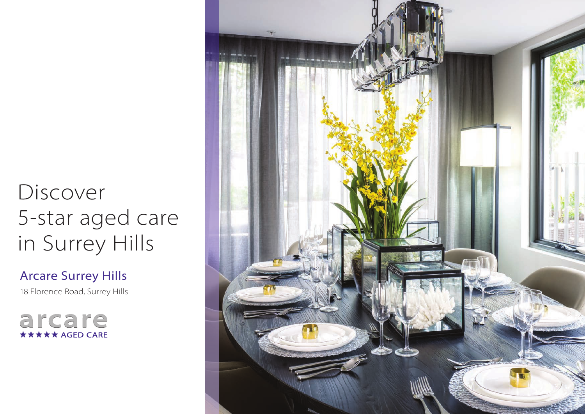# Discover 5-star aged care in Surrey Hills

Arcare Surrey Hills

18 Florence Road, Surrey Hills

arcare **\*\*\*\*\* AGED CARE** 

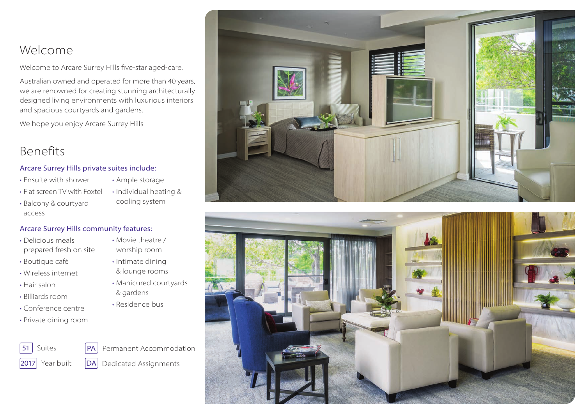### Welcome

Welcome to Arcare Surrey Hills five-star aged-care.

Australian owned and operated for more than 40 years, we are renowned for creating stunning architecturally designed living environments with luxurious interiors and spacious courtyards and gardens.

We hope you enjoy Arcare Surrey Hills.

### Benefits

#### Arcare Surrey Hills private suites include:

- Ensuite with shower
- Ample storage
- Flat screen TV with Foxtel
- Individual heating & cooling system
- Balcony & courtyard access

### Arcare Surrey Hills community features:

- Delicious meals prepared fresh on site
- Boutique café
- Wireless internet
- Hair salon
- Billiards room
- Conference centre
- Private dining room
- & gardens
- worship room • Intimate dining & lounge rooms

• Movie theatre /

- Manicured courtyards
- Residence bus





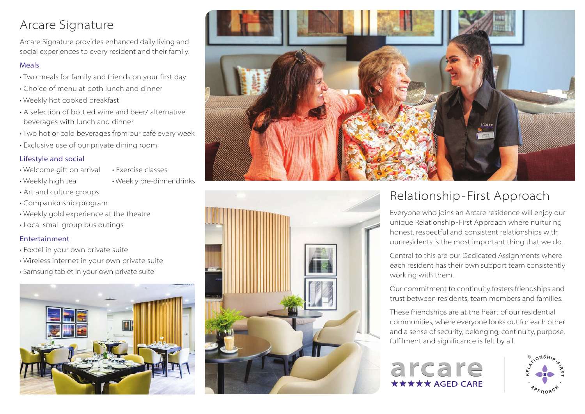# Arcare Signature

Arcare Signature provides enhanced daily living and social experiences to every resident and their family.

### Meals

- Two meals for family and friends on your first day
- Choice of menu at both lunch and dinner
- Weekly hot cooked breakfast
- A selection of bottled wine and beer/ alternative beverages with lunch and dinner
- Two hot or cold beverages from our café every week
- Exclusive use of our private dining room

### Lifestyle and social

• Weekly high tea

- Welcome gift on arrival
	- Weekly pre-dinner drinks

• Exercise classes

- Art and culture groups
- Companionship program
- Weekly gold experience at the theatre
- Local small group bus outings

### Entertainment

- Foxtel in your own private suite
- Wireless internet in your own private suite
- Samsung tablet in your own private suite







# Relationship-First Approach

Everyone who joins an Arcare residence will enjoy our unique Relationship-First Approach where nurturing honest, respectful and consistent relationships with our residents is the most important thing that we do.

Central to this are our Dedicated Assignments where each resident has their own support team consistently working with them.

Our commitment to continuity fosters friendships and trust between residents, team members and families.

These friendships are at the heart of our residential communities, where everyone looks out for each other and a sense of security, belonging, continuity, purpose, fulfilment and significance is felt by all.